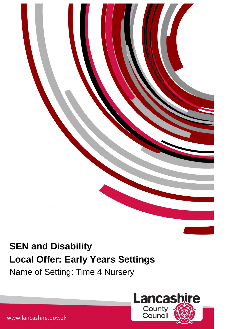

Name of Setting: Time 4 Nursery



www.lancashire.gov.uk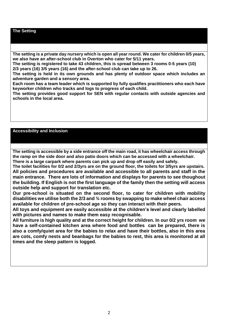## **The Setting**

**The setting is a private day nursery which is open all year round. We cater for children 0/5 years, we also have an after-school club in Overton who cater for 5/11 years.**

**The setting is registered to take 43 children, this is spread between 3 rooms 0-5 years (10) 2/3 years (16) 3/5 years (16) and the after-school club can take up to 26.**

**The setting is held in its own grounds and has plenty of outdoor space which includes an adventure garden and a sensory area.**

**Each room has a team leader which is supported by fully qualifies practitioners who each have keyworker children who tracks and logs to progress of each child.**

**The setting provides good support for SEN with regular contacts with outside agencies and schools in the local area.**

## **Accessibility and Inclusion**

**The setting is accessible by a side entrance off the main road, it has wheelchair access through the ramp on the side door and also patio doors which can be accessed with a wheelchair. There is a large carpark where parents can pick up and drop off easily and safely.**

**The toilet facilities for 0/2 and 2/3yrs are on the ground floor, the toilets for 3/5yrs are upstairs. All policies and procedures are available and accessible to all parents and staff in the main entrance. There are lots of information and displays for parents to see thoughout the building. If English is not the first language of the family then the setting will access outside help and support for translation etc.**

**Our pre-school is situated on the second floor, to cater for children with mobility disabilities we utilise both the 2/3 and ¾ rooms by swapping to make wheel chair access available for children of pre-school age so they can interact with their peers.**

**All toys and equipment are easily accessible at the children's level and clearly labelled with pictures and names to make them easy recognisable.**

**All furniture is high quality and at the correct height for children. In our 0/2 yrs room we have a self-contained kitchen area where food and bottles can be prepared, there is also a comfy/quiet area for the babies to relax and have their bottles, also in this area are cots, comfy nests and beanbags for the babies to rest, this area is monitored at all times and the sleep pattern is logged.**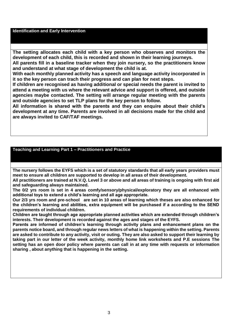#### **Identification and Early Intervention**

**The setting allocates each child with a key person who observes and monitors the development of each child, this is recorded and shown in their learning journeys.**

**All parents fill in a baseline tracker when they join nursery, so the practitioners know and understand at what stage of development the child is at.**

**With each monthly planned activity has a speech and language activity incorporated in it so the key person can trach their progress and can plan for next steps.**

**If children are recognised as having additional or special needs the parent is invited to attend a meeting with us where the relevant advice and support is offered, and outside agencies maybe contacted. The setting will arrange regular meeting with the parents and outside agencies to set TLP plans for the key person to follow.**

**All information is shared with the parents and they can enquire about their child's development at any time. Parents are involved in all decisions made for the child and are always invited to CAF/TAF meetings.**

### **Teaching and Learning Part 1 – Practitioners and Practice**

**The nursery follows the EYFS which is a set of statutory standards that all early years providers must meet to ensure all children are supported to develop in all areas of their development.**

**All practitioners are trained at N.V.Q. Level 3 or above and all areas of training is ongoing with first aid and safeguarding always maintained.**

**The 0/2 yrs room is set in 4 areas comfy/sensory/physical/exploratory they are all enhanced with additional toys to extend a child's learning and all age appropriate.**

**Our 2/3 yrs room and pre-school are set in 10 areas of learning which theses are also enhanced for the children's learning and abilities, extra equipment will be purchased if a according to the SEND requirements of individual children.**

**Children are taught through age appropriate planned activities which are extended through children's interests. Their development is recorded against the ages and stages of the EYFS.**

**Parents are informed of children's learning through activity plans and enhancement plans on the parents notice board, and through regular news letters of what is happening within the setting. Parents are asked to contribute to any activity, visit or outing. They are also asked to support their learning by taking part in our letter of the week activity, monthly home link worksheets and P.E sessions The setting has an open door policy where parents can call in at any time with requests or information sharing , about anything that is happening in the setting.**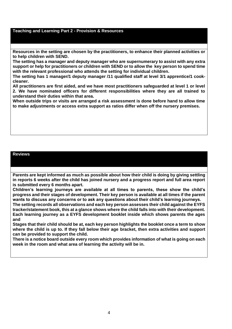#### **Teaching and Learning Part 2 - Provision & Resources**

**Resources in the setting are chosen by the practitioners, to enhance their planned activities or to help children with SEND.**

**The setting has a manager and deputy manager who are supernumerary to assist with any extra support or help for practitioners or children with SEND or to allow the key person to spend time with the relevant professional who attends the setting for individual children.**

**The setting has 1 manager/1 deputy manager /11 qualified staff at level 3/1 apprentice/1 cookcleaner.**

**All practitioners are first aided, and we have most practitioners safeguarded at level 1 or level 2. We have nominated officers for different responsibilities where they are all trained to understand their duties within that area.**

**When outside trips or visits are arranged a risk assessment is done before hand to allow time to make adjustments or access extra support as ratios differ when off the nursery premises.**

#### **Reviews**

**Parents are kept informed as much as possible about how their child is doing by giving settling in reports 6 weeks after the child has joined nursery and a progress report and full area report is submitted every 6 months apart.**

**Children's learning journeys are available at all times to parents, these show the child's progress and their stages of development. Their key person is available at all times if the parent wants to discuss any concerns or to ask any questions about their child's learning journeys.**

**The setting records all observations and each key person assesses their child against the EYFS tracker/statement book, this at a glance shows where the child falls into with their development. Each learning journey as a EYFS development booklet inside which shows parents the ages and**

**Stages that their child should be at, each key person highlights the booklet once a term to show where the child is up to. If they fall below their age bracket, then extra activities and support can be provided to support the child.**

**There is a notice board outside every room which provides information of what is going on each week in the room and what area of learning the activity will be in.**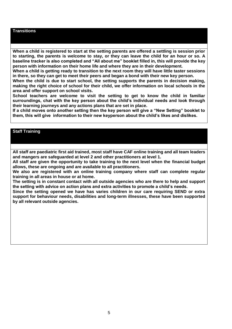### **Transitions**

**When a child is registered to start at the setting parents are offered a settling is session prior to starting, the parents is welcome to stay, or they can leave the child for an hour or so. A baseline tracker is also completed and "All about me" booklet filled in, this will provide the key person with information on their home life and where they are in their development.**

**When a child is getting ready to transition to the next room they will have little taster sessions in there, so they can get to meet their peers and began a bond with their new key person.**

**When the child is due to start school, the setting supports the parents in decision making, making the right choice of school for their child, we offer information on local schools in the area and offer support on school visits.**

**School teachers are welcome to visit the setting to get to know the child in familiar surroundings, chat with the key person about the child's individual needs and look through their learning journeys and any actions plans that are set in place.**

**If a child moves onto another setting then the key person will give a "New Setting" booklet to them, this will give information to their new keyperson about the child's likes and dislikes.**

# **Staff Training**

**All staff are paediatric first aid trained, most staff have CAF online training and all team leaders and mangers are safeguarded at level 2 and other practitioners at level 1.** 

**All staff are given the opportunity to take training to the next level when the financial budget allows, these are ongoing and are available to all practitioners.**

**We also are registered with an online training company where staff can complete regular training in all areas in house or at home.**

**The setting is in constant contact with all outside agencies who are there to help and support the setting with advice on action plans and extra activities to promote a child's needs.**

**Since the setting opened we have has varies children in our care requiring SEND or extra support for behaviour needs, disabilities and long-term illnesses, these have been supported by all relevant outside agencies.**